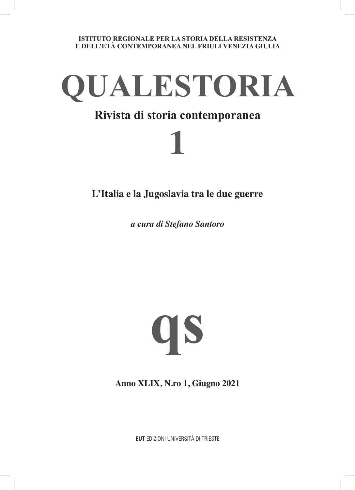# **ISTITUTO REGIONALE PER LA STORIA DELLA RESISTENZA E DELL'ETÀ CONTEMPORANEA NEL FRIULI VENEZIA GIULIA**



# **Rivista di storia contemporanea**

**1**

**L'Italia e la Jugoslavia tra le due guerre**

*a cura di Stefano Santoro*



**Anno XLIX, N.ro 1, Giugno 2021**

**EUT** EDIZIONI UNIVERSITÀ DI TRIESTE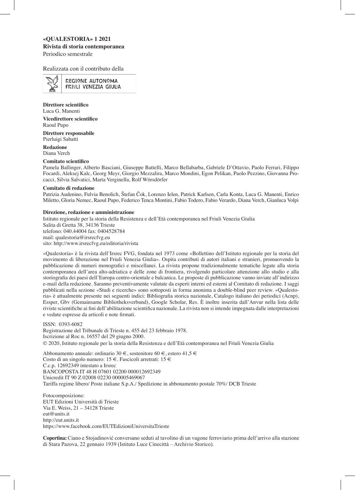# **«QUALESTORIA» 1 2021 Rivista di storia contemporanea**

Periodico semestrale

Realizzata con il contributo della



**Direttore scientifco** Luca G. Manenti

**Vicedirettore scientifco** Raoul Pupo

**Direttore responsabile** Pierluigi Sabatti

**Redazione** Diana Verch

#### **Comitato scientifco**

Pamela Ballinger, Alberto Basciani, Giuseppe Battelli, Marco Bellabarba, Gabriele D'Ottavio, Paolo Ferrari, Filippo Focardi, Aleksej Kalc, Georg Meyr, Giorgio Mezzalira, Marco Mondini, Egon Pelikan, Paolo Pezzino, Giovanna Procacci, Silvia Salvatici, Marta Verginella, Rolf Wörsdörfer

#### **Comitato di redazione**

Patrizia Audenino, Fulvia Benolich, Štefan Čok, Lorenzo Ielen, Patrick Karlsen, Carla Konta, Luca G. Manenti, Enrico Miletto, Gloria Nemec, Raoul Pupo, Federico Tenca Montini, Fabio Todero, Fabio Verardo, Diana Verch, Gianluca Volpi

#### **Direzione, redazione e amministrazione**

Istituto regionale per la storia della Resistenza e dell'Età contemporanea nel Friuli Venezia Giulia Salita di Gretta 38, 34136 Trieste telefono: 040.44004 fax: 0404528784 mail: qualestoria@irsrecfvg.eu sito: http://www.irsrecfvg.eu/editoria/rivista

«Qualestoria» è la rivista dell'Irsrec FVG, fondata nel 1973 come «Bollettino dell'Istituto regionale per la storia del movimento di liberazione nel Friuli Venezia Giulia». Ospita contributi di autori italiani e stranieri, promuovendo la pubblicazione di numeri monografci e miscellanei. La rivista propone tradizionalmente tematiche legate alla storia contemporanea dell'area alto-adriatica e delle zone di frontiera, rivolgendo particolare attenzione allo studio e alla storiografa dei paesi dell'Europa centro-orientale e balcanica. Le proposte di pubblicazione vanno inviate all'indirizzo e-mail della redazione. Saranno preventivamente valutate da esperti interni ed esterni al Comitato di redazione. I saggi pubblicati nella sezione «Studi e ricerche» sono sottoposti in forma anonima a double-blind peer review. «Qualestoria» è attualmente presente nei seguenti indici: Bibliografa storica nazionale, Catalogo italiano dei periodici (Acnp), Essper, Gbv (Gemainsame Bibliotheksverbund), Google Scholar, Res. È inoltre inserita dall'Anvur nella lista delle riviste scientifche ai fni dell'abilitazione scientifca nazionale. La rivista non si intende impegnata dalle interpretazioni e vedute espresse da articoli e note frmati.

#### ISSN: 0393-6082

Registrazione del Tribunale di Trieste n. 455 del 23 febbraio 1978. Iscrizione al Roc n. 16557 del 29 giugno 2000. © 2020, Istituto regionale per la storia della Resistenza e dell'Età contemporanea nel Friuli Venezia Giulia

Abbonamento annuale: ordinario 30  $\in$ , sostenitore 60  $\in$ , estero 41,5  $\in$ Costo di un singolo numero: 15 €. Fascicoli arretrati: 15 € C.c.p. 12692349 intestato a Irsrec BANCOPOSTA IT 48 H 07601 02200 000012692349 Unicredit IT 90 Z 02008 02230 000005469067 Tariffa regime libero/ Poste italiane S.p.A./ Spedizione in abbonamento postale 70%/ DCB Trieste

Fotocomposizione: EUT Edizioni Università di Trieste Via E. Weiss, 21 – 34128 Trieste eut@units.it http://eut.units.it https://www.facebook.com/EUTEdizioniUniversitaTrieste

**Copertina:** Ciano e Stojadinović conversano seduti al tavolino di un vagone ferroviario prima dell'arrivo alla stazione di Stara Pazova, 22 gennaio 1939 (Istituto Luce Cinecittà – Archivio Storico).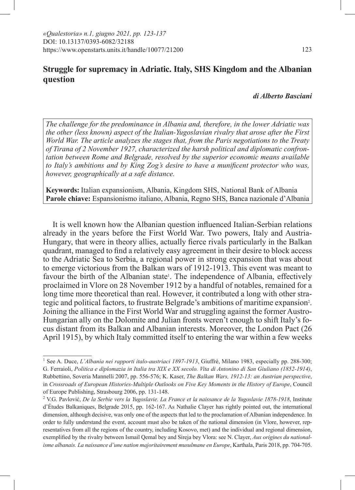# **Struggle for supremacy in Adriatic. Italy, SHS Kingdom and the Albanian question**

*di Alberto Basciani*

*The challenge for the predominance in Albania and, therefore, in the lower Adriatic was the other (less known) aspect of the Italian-Yugoslavian rivalry that arose after the First World War. The article analyzes the stages that, from the Paris negotiations to the Treaty of Tirana of 2 November 1927, characterized the harsh political and diplomatic confrontation between Rome and Belgrade, resolved by the superior economic means available to Italy's ambitions and by King Zog's desire to have a munifcent protector who was, however, geographically at a safe distance.*

**Keywords:** Italian expansionism, Albania, Kingdom SHS, National Bank of Albania **Parole chiave:** Espansionismo italiano, Albania, Regno SHS, Banca nazionale d'Albania

It is well known how the Albanian question infuenced Italian-Serbian relations already in the years before the First World War. Two powers, Italy and Austria-Hungary, that were in theory allies, actually ferce rivals particularly in the Balkan quadrant, managed to fnd a relatively easy agreement in their desire to block access to the Adriatic Sea to Serbia, a regional power in strong expansion that was about to emerge victorious from the Balkan wars of 1912-1913. This event was meant to favour the birth of the Albanian state<sup>1</sup>. The independence of Albania, effectively proclaimed in Vlore on 28 November 1912 by a handful of notables, remained for a long time more theoretical than real. However, it contributed a long with other strategic and political factors, to frustrate Belgrade's ambitions of maritime expansion<sup>2</sup>. Joining the alliance in the First World War and struggling against the former Austro-Hungarian ally on the Dolomite and Julian fronts weren't enough to shift Italy's focus distant from its Balkan and Albanian interests. Moreover, the London Pact (26 April 1915), by which Italy committed itself to entering the war within a few weeks

<sup>1</sup> See A. Duce, *L'Albania nei rapporti italo-austriaci 1897-1913*, Giuffrè, Milano 1983, especially pp. 288-300; G. Ferraioli, *Politica e diplomazia in Italia tra XIX e XX secolo. Vita di Antonino di San Giuliano (1852-1914)*, Rubbettino, Soveria Mannelli 2007, pp. 556-576; K. Kaser, *The Balkan Wars, 1912-13: an Austrian perspective*, in *Crossroads of European Histories-Multiple Outlooks on Five Key Moments in the History of Europe*, Council of Europe Publishing, Strasbourg 2006, pp. 131-148.

<sup>2</sup> V.G. Pavlović, *De la Serbie vers la Yugoslavie. La France et la naissance de la Yugoslavie 1878-1918*, Institute d'Études Balkaniques, Belgrade 2015, pp. 162-167. As Nathalie Clayer has rightly pointed out, the international dimension, although decisive, was only one of the aspects that led to the proclamation of Albanian independence. In order to fully understand the event, account must also be taken of the national dimension (in Vlore, however, representatives from all the regions of the country, including Kosovo, met) and the individual and regional dimension, exemplifed by the rivalry between Ismail Qemal bey and Sireja bey Vlora: see N. Clayer, *Aux origines du nationalisme albanais. La naissance d'une nation majoritairement musulmane en Europe*, Karthala, Paris 2018, pp. 704-705.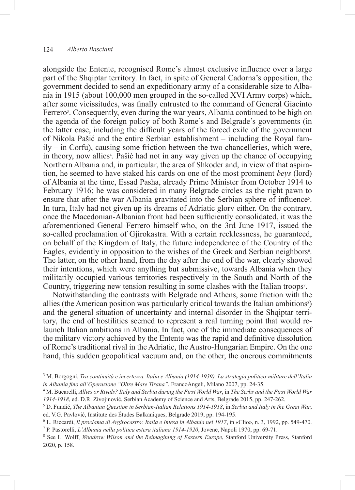# 124 *Alberto Basciani*

alongside the Entente, recognised Rome's almost exclusive infuence over a large part of the Shqiptar territory. In fact, in spite of General Cadorna's opposition, the government decided to send an expeditionary army of a considerable size to Albania in 1915 (about 100,000 men grouped in the so-called XVI Army corps) which, after some vicissitudes, was fnally entrusted to the command of General Giacinto Ferrero<sup>3</sup>. Consequently, even during the war years, Albania continued to be high on the agenda of the foreign policy of both Rome's and Belgrade's governments (in the latter case, including the diffcult years of the forced exile of the government of Nikola Pašić and the entire Serbian establishment – including the Royal family – in Corfu), causing some friction between the two chancelleries, which were, in theory, now allies<sup>4</sup>. Pašić had not in any way given up the chance of occupying Northern Albania and, in particular, the area of Shkoder and, in view of that aspiration, he seemed to have staked his cards on one of the most prominent *beys* (lord) of Albania at the time, Essad Pasha, already Prime Minister from October 1914 to February 1916; he was considered in many Belgrade circles as the right pawn to ensure that after the war Albania gravitated into the Serbian sphere of influence<sup>5</sup>. In turn, Italy had not given up its dreams of Adriatic glory either. On the contrary, once the Macedonian-Albanian front had been suffciently consolidated, it was the aforementioned General Ferrero himself who, on the 3rd June 1917, issued the so-called proclamation of Gjirokastra. With a certain recklessness, he guaranteed, on behalf of the Kingdom of Italy, the future independence of the Country of the Eagles, evidently in opposition to the wishes of the Greek and Serbian neighbors<sup>6</sup>. The latter, on the other hand, from the day after the end of the war, clearly showed their intentions, which were anything but submissive, towards Albania when they militarily occupied various territories respectively in the South and North of the Country, triggering new tension resulting in some clashes with the Italian troops<sup>7</sup>.

Notwithstanding the contrasts with Belgrade and Athens, some friction with the allies (the American position was particularly critical towards the Italian ambitions<sup>8</sup>) and the general situation of uncertainty and internal disorder in the Shqiptar territory, the end of hostilities seemed to represent a real turning point that would relaunch Italian ambitions in Albania. In fact, one of the immediate consequences of the military victory achieved by the Entente was the rapid and defnitive dissolution of Rome's traditional rival in the Adriatic, the Austro-Hungarian Empire. On the one hand, this sudden geopolitical vacuum and, on the other, the onerous commitments

<sup>3</sup> M. Borgogni, *Tra continuità e incertezza. Italia e Albania (1914-1939). La strategia politico-militare dell'Italia in Albania fno all'Operazione "Oltre Mare Tirana"*, FrancoAngeli, Milano 2007, pp. 24-35.

<sup>4</sup> M. Bucarelli, *Allies or Rivals? Italy and Serbia during the First World War*, in *The Serbs and the First World War 1914-1918*, ed. D.R. Zivojinović, Serbian Academy of Science and Arts, Belgrade 2015, pp. 247-262.

<sup>5</sup> D. Fundić, *The Albanian Question in Serbian-Italian Relations 1914-1918*, in *Serbia and Italy in the Great War*, ed. V.G. Pavlović, Institute des Études Balkaniques, Belgrade 2019, pp. 194-195.

<sup>6</sup> L. Riccardi, *Il proclama di Argirocastro: Italia e Intesa in Albania nel 1917*, in «Clio», n. 3, 1992, pp. 549-470. 7 P. Pastorelli, *L'Albania nella politica estera italiana 1914-1920*, Jovene, Napoli 1970, pp. 69-71.

<sup>8</sup> See L. Wolff, *Woodrow Wilson and the Reimagining of Eastern Europe*, Stanford University Press, Stanford 2020, p. 158.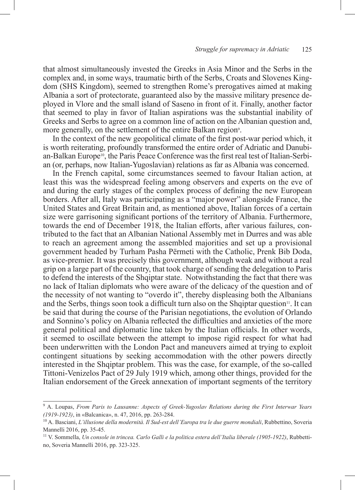that almost simultaneously invested the Greeks in Asia Minor and the Serbs in the complex and, in some ways, traumatic birth of the Serbs, Croats and Slovenes Kingdom (SHS Kingdom), seemed to strengthen Rome's prerogatives aimed at making Albania a sort of protectorate, guaranteed also by the massive military presence deployed in Vlore and the small island of Saseno in front of it. Finally, another factor that seemed to play in favor of Italian aspirations was the substantial inability of Greeks and Serbs to agree on a common line of action on the Albanian question and, more generally, on the settlement of the entire Balkan region<sup>9</sup>.

In the context of the new geopolitical climate of the frst post-war period which, it is worth reiterating, profoundly transformed the entire order of Adriatic and Danubian-Balkan Europe<sup>10</sup>, the Paris Peace Conference was the first real test of Italian-Serbian (or, perhaps, now Italian-Yugoslavian) relations as far as Albania was concerned.

In the French capital, some circumstances seemed to favour Italian action, at least this was the widespread feeling among observers and experts on the eve of and during the early stages of the complex process of defning the new European borders. After all, Italy was participating as a "major power" alongside France, the United States and Great Britain and, as mentioned above, Italian forces of a certain size were garrisoning signifcant portions of the territory of Albania. Furthermore, towards the end of December 1918, the Italian efforts, after various failures, contributed to the fact that an Albanian National Assembly met in Durres and was able to reach an agreement among the assembled majorities and set up a provisional government headed by Turham Pasha Përmeti with the Catholic, Prenk Bib Doda, as vice-premier. It was precisely this government, although weak and without a real grip on a large part of the country, that took charge of sending the delegation to Paris to defend the interests of the Shqiptar state. Notwithstanding the fact that there was no lack of Italian diplomats who were aware of the delicacy of the question and of the necessity of not wanting to "overdo it", thereby displeasing both the Albanians and the Serbs, things soon took a difficult turn also on the Shqiptar question<sup>11</sup>. It can be said that during the course of the Parisian negotiations, the evolution of Orlando and Sonnino's policy on Albania refected the diffculties and anxieties of the more general political and diplomatic line taken by the Italian offcials. In other words, it seemed to oscillate between the attempt to impose rigid respect for what had been underwritten with the London Pact and maneuvers aimed at trying to exploit contingent situations by seeking accommodation with the other powers directly interested in the Shqiptar problem. This was the case, for example, of the so-called Tittoni-Venizelos Pact of 29 July 1919 which, among other things, provided for the Italian endorsement of the Greek annexation of important segments of the territory

<sup>9</sup> A. Loupas, *From Paris to Lausanne: Aspects of Greek-Yugoslav Relations during the First Interwar Years (1919-1923)*, in «Balcanica», n. 47, 2016, pp. 263-284.

<sup>&</sup>lt;sup>10</sup> A. Basciani, *L'illusione della modernità. Il Sud-est dell'Europa tra le due guerre mondiali*, Rubbettino, Soveria Mannelli 2016, pp. 35-45.

<sup>11</sup> V. Sommella, *Un console in trincea. Carlo Galli e la politica estera dell'Italia liberale (1905-1922)*, Rubbettino, Soveria Mannelli 2016, pp. 323-325.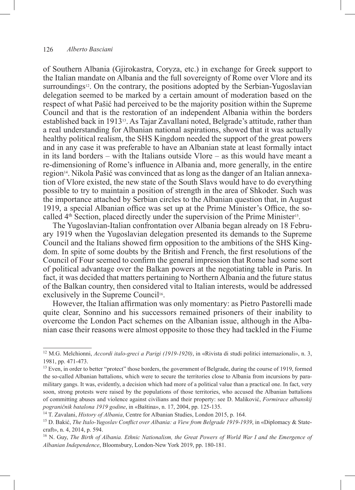of Southern Albania (Gjirokastra, Coryza, etc.) in exchange for Greek support to the Italian mandate on Albania and the full sovereignty of Rome over Vlore and its surroundings<sup>12</sup>. On the contrary, the positions adopted by the Serbian-Yugoslavian delegation seemed to be marked by a certain amount of moderation based on the respect of what Pašić had perceived to be the majority position within the Supreme Council and that is the restoration of an independent Albania within the borders established back in 191313. As Tajar Zavallani noted, Belgrade's attitude, rather than a real understanding for Albanian national aspirations, showed that it was actually healthy political realism, the SHS Kingdom needed the support of the great powers and in any case it was preferable to have an Albanian state at least formally intact in its land borders – with the Italians outside Vlore – as this would have meant a re-dimensioning of Rome's infuence in Albania and, more generally, in the entire region14. Nikola Pašić was convinced that as long as the danger of an Italian annexation of Vlore existed, the new state of the South Slavs would have to do everything possible to try to maintain a position of strength in the area of Shkoder. Such was the importance attached by Serbian circles to the Albanian question that, in August 1919, a special Albanian offce was set up at the Prime Minister's Offce, the socalled 4th Section, placed directly under the supervision of the Prime Minister15.

The Yugoslavian-Italian confrontation over Albania began already on 18 February 1919 when the Yugoslavian delegation presented its demands to the Supreme Council and the Italians showed frm opposition to the ambitions of the SHS Kingdom. In spite of some doubts by the British and French, the frst resolutions of the Council of Four seemed to confrm the general impression that Rome had some sort of political advantage over the Balkan powers at the negotiating table in Paris. In fact, it was decided that matters pertaining to Northern Albania and the future status of the Balkan country, then considered vital to Italian interests, would be addressed exclusively in the Supreme Council<sup>16</sup>.

However, the Italian affrmation was only momentary: as Pietro Pastorelli made quite clear, Sonnino and his successors remained prisoners of their inability to overcome the London Pact schemes on the Albanian issue, although in the Albanian case their reasons were almost opposite to those they had tackled in the Fiume

<sup>12</sup> M.G. Melchionni, *Accordi italo-greci a Parigi (1919-1920)*, in «Rivista di studi politici internazionali», n. 3, 1981, pp. 471-473.

<sup>&</sup>lt;sup>13</sup> Even, in order to better "protect" those borders, the government of Belgrade, during the course of 1919, formed the so-called Albanian battalions, which were to secure the territories close to Albania from incursions by paramilitary gangs. It was, evidently, a decision which had more of a political value than a practical one. In fact, very soon, strong protests were raised by the populations of those territories, who accused the Albanian battalions of committing abuses and violence against civilians and their property: see D. Maliković, *Formirace albanskij pograničnik batalona 1919 godine*, in «Baština», n. 17, 2004, pp. 125-135.

<sup>14</sup> T. Zavalani, *History of Albania*, Centre for Albanian Studies, London 2015, p. 164.

<sup>15</sup> D. Bakić, *The Italo-Yugoslav Confict over Albania: a View from Belgrade 1919-1939*, in «Diplomacy & Statecraft», n. 4, 2014, p. 594.

<sup>16</sup> N. Guy, *The Birth of Albania. Ethnic Nationalism, the Great Powers of World War I and the Emergence of Albanian Independence*, Bloomsbury, London-New York 2019, pp. 180-181.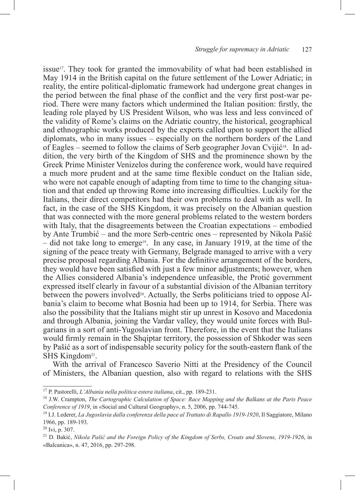issue17. They took for granted the immovability of what had been established in May 1914 in the British capital on the future settlement of the Lower Adriatic; in reality, the entire political-diplomatic framework had undergone great changes in the period between the fnal phase of the confict and the very frst post-war period. There were many factors which undermined the Italian position: frstly, the leading role played by US President Wilson, who was less and less convinced of the validity of Rome's claims on the Adriatic country, the historical, geographical and ethnographic works produced by the experts called upon to support the allied diplomats, who in many issues – especially on the northern borders of the Land of Eagles – seemed to follow the claims of Serb geographer Jovan Cvijić18. In addition, the very birth of the Kingdom of SHS and the prominence shown by the Greek Prime Minister Venizelos during the conference work, would have required a much more prudent and at the same time fexible conduct on the Italian side, who were not capable enough of adapting from time to time to the changing situation and that ended up throwing Rome into increasing diffculties. Luckily for the Italians, their direct competitors had their own problems to deal with as well. In fact, in the case of the SHS Kingdom, it was precisely on the Albanian question that was connected with the more general problems related to the western borders with Italy, that the disagreements between the Croatian expectations – embodied by Ante Trumbić – and the more Serb-centric ones – represented by Nikola Pašić – did not take long to emerge19. In any case, in January 1919, at the time of the signing of the peace treaty with Germany, Belgrade managed to arrive with a very precise proposal regarding Albania. For the defnitive arrangement of the borders, they would have been satisfed with just a few minor adjustments; however, when the Allies considered Albania's independence unfeasible, the Protić government expressed itself clearly in favour of a substantial division of the Albanian territory between the powers involved<sup>20</sup>. Actually, the Serbs politicians tried to oppose Albania's claim to become what Bosnia had been up to 1914, for Serbia. There was also the possibility that the Italians might stir up unrest in Kosovo and Macedonia and through Albania, joining the Vardar valley, they would unite forces with Bulgarians in a sort of anti-Yugoslavian front. Therefore, in the event that the Italians would frmly remain in the Shqiptar territory, the possession of Shkoder was seen by Pašić as a sort of indispensable security policy for the south-eastern fank of the SHS Kingdom<sup>21</sup>.

With the arrival of Francesco Saverio Nitti at the Presidency of the Council of Ministers, the Albanian question, also with regard to relations with the SHS

<sup>17</sup> P. Pastorelli, *L'Albania nella politica estera italiana*, cit., pp. 189-231.

<sup>18</sup> J.W. Crampton, *The Cartographic Calculation of Space: Race Mapping and the Balkans at the Paris Peace Conference of 1919*, in «Social and Cultural Geography», n. 5, 2006, pp. 744-745.

<sup>19</sup> I.J. Lederer, *La Jugoslavia dalla conferenza della pace al Trattato di Rapallo 1919-1920*, Il Saggiatore, Milano 1966, pp. 189-193.

<sup>20</sup> Ivi, p. 307.

<sup>21</sup> D. Bakić, *Nikola Pašić and the Foreign Policy of the Kingdom of Serbs, Croats and Slovens, 1919-1926*, in «Balcanica», n. 47, 2016, pp. 297-298.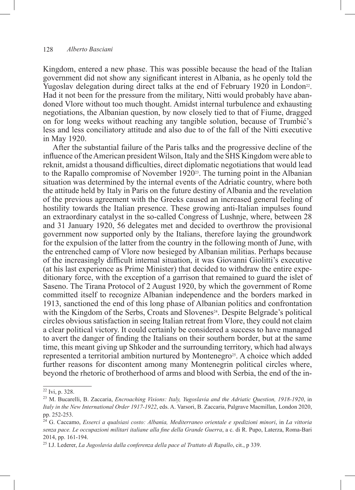Kingdom, entered a new phase. This was possible because the head of the Italian government did not show any signifcant interest in Albania, as he openly told the Yugoslav delegation during direct talks at the end of February 1920 in London<sup>22</sup>. Had it not been for the pressure from the military, Nitti would probably have abandoned Vlore without too much thought. Amidst internal turbulence and exhausting negotiations, the Albanian question, by now closely tied to that of Fiume, dragged on for long weeks without reaching any tangible solution, because of Trumbić's less and less conciliatory attitude and also due to of the fall of the Nitti executive in May 1920.

After the substantial failure of the Paris talks and the progressive decline of the infuence of the American president Wilson, Italy and the SHS Kingdom were able to reknit, amidst a thousand diffculties, direct diplomatic negotiations that would lead to the Rapallo compromise of November 192023. The turning point in the Albanian situation was determined by the internal events of the Adriatic country, where both the attitude held by Italy in Paris on the future destiny of Albania and the revelation of the previous agreement with the Greeks caused an increased general feeling of hostility towards the Italian presence. These growing anti-Italian impulses found an extraordinary catalyst in the so-called Congress of Lushnje, where, between 28 and 31 January 1920, 56 delegates met and decided to overthrow the provisional government now supported only by the Italians, therefore laying the groundwork for the expulsion of the latter from the country in the following month of June, with the entrenched camp of Vlore now besieged by Albanian militias. Perhaps because of the increasingly diffcult internal situation, it was Giovanni Giolitti's executive (at his last experience as Prime Minister) that decided to withdraw the entire expeditionary force, with the exception of a garrison that remained to guard the islet of Saseno. The Tirana Protocol of 2 August 1920, by which the government of Rome committed itself to recognize Albanian independence and the borders marked in 1913, sanctioned the end of this long phase of Albanian politics and confrontation with the Kingdom of the Serbs, Croats and Slovenes<sup>24</sup>. Despite Belgrade's political circles obvious satisfaction in seeing Italian retreat from Vlore, they could not claim a clear political victory. It could certainly be considered a success to have managed to avert the danger of fnding the Italians on their southern border, but at the same time, this meant giving up Shkoder and the surrounding territory, which had always represented a territorial ambition nurtured by Montenegro<sup>25</sup>. A choice which added further reasons for discontent among many Montenegrin political circles where, beyond the rhetoric of brotherhood of arms and blood with Serbia, the end of the in-

<sup>22</sup> Ivi, p. 328.

<sup>23</sup> M. Bucarelli, B. Zaccaria, *Encroaching Visions: Italy, Yugoslavia and the Adriatic Question, 1918-1920*, in *Italy in the New International Order 1917-1922*, eds. A. Varsori, B. Zaccaria, Palgrave Macmillan, London 2020, pp. 252-253.

<sup>24</sup> G. Caccamo, *Esserci a qualsiasi costo: Albania, Mediterraneo orientale e spedizioni minori*, in *La vittoria senza pace. Le occupazioni militari italiane alla fne della Grande Guerra*, a c. di R. Pupo, Laterza, Roma-Bari 2014, pp. 161-194.

<sup>25</sup> I.J. Lederer, *La Jugoslavia dalla conferenza della pace al Trattato di Rapallo*, cit., p 339.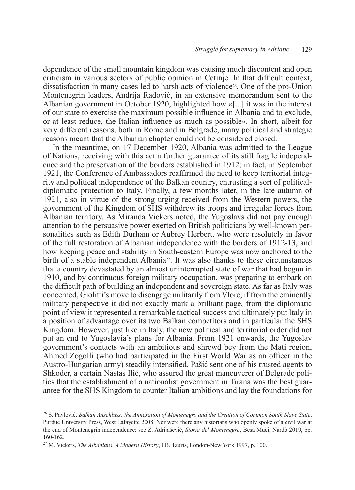dependence of the small mountain kingdom was causing much discontent and open criticism in various sectors of public opinion in Cetinje. In that diffcult context, dissatisfaction in many cases led to harsh acts of violence<sup>26</sup>. One of the pro-Union Montenegrin leaders, Andrija Radović, in an extensive memorandum sent to the Albanian government in October 1920, highlighted how «[...] it was in the interest of our state to exercise the maximum possible infuence in Albania and to exclude, or at least reduce, the Italian infuence as much as possible». In short, albeit for very different reasons, both in Rome and in Belgrade, many political and strategic reasons meant that the Albanian chapter could not be considered closed.

In the meantime, on 17 December 1920, Albania was admitted to the League of Nations, receiving with this act a further guarantee of its still fragile independence and the preservation of the borders established in 1912; in fact, in September 1921, the Conference of Ambassadors reaffrmed the need to keep territorial integrity and political independence of the Balkan country, entrusting a sort of politicaldiplomatic protection to Italy. Finally, a few months later, in the late autumn of 1921, also in virtue of the strong urging received from the Western powers, the government of the Kingdom of SHS withdrew its troops and irregular forces from Albanian territory. As Miranda Vickers noted, the Yugoslavs did not pay enough attention to the persuasive power exerted on British politicians by well-known personalities such as Edith Durham or Aubrey Herbert, who were resolutely in favor of the full restoration of Albanian independence with the borders of 1912-13, and how keeping peace and stability in South-eastern Europe was now anchored to the birth of a stable independent Albania<sup>27</sup>. It was also thanks to these circumstances that a country devastated by an almost uninterrupted state of war that had begun in 1910, and by continuous foreign military occupation, was preparing to embark on the diffcult path of building an independent and sovereign state. As far as Italy was concerned, Giolitti's move to disengage militarily from Vlore, if from the eminently military perspective it did not exactly mark a brilliant page, from the diplomatic point of view it represented a remarkable tactical success and ultimately put Italy in a position of advantage over its two Balkan competitors and in particular the SHS Kingdom. However, just like in Italy, the new political and territorial order did not put an end to Yugoslavia's plans for Albania. From 1921 onwards, the Yugoslav government's contacts with an ambitious and shrewd bey from the Mati region, Ahmed Zogolli (who had participated in the First World War as an offcer in the Austro-Hungarian army) steadily intensifed. Pašić sent one of his trusted agents to Shkoder, a certain Nastas Ilić, who assured the great maneuverer of Belgrade politics that the establishment of a nationalist government in Tirana was the best guarantee for the SHS Kingdom to counter Italian ambitions and lay the foundations for

<sup>26</sup> S. Pavlović, *Balkan Anschluss: the Annexation of Montenegro and the Creation of Common South Slave State*, Purdue University Press, West Lafayette 2008. Nor were there any historians who openly spoke of a civil war at the end of Montenegrin independence: see Z. Adrijašević, *Storia del Montenegro*, Besa Muci, Nardò 2019, pp. 160-162.

<sup>27</sup> M. Vickers, *The Albanians. A Modern History*, I.B. Tauris, London-New York 1997, p. 100.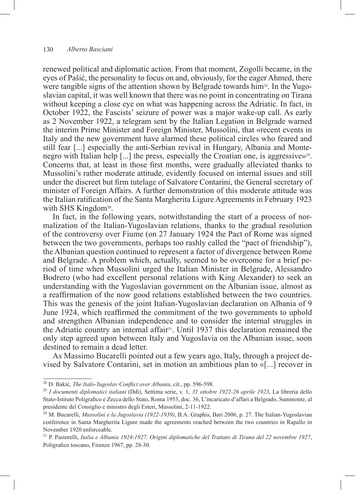### 130 *Alberto Basciani*

renewed political and diplomatic action. From that moment, Zogolli became, in the eyes of Pašić, the personality to focus on and, obviously, for the eager Ahmed, there were tangible signs of the attention shown by Belgrade towards him<sup>28</sup>. In the Yugoslavian capital, it was well known that there was no point in concentrating on Tirana without keeping a close eye on what was happening across the Adriatic. In fact, in October 1922, the Fascists' seizure of power was a major wake-up call. As early as 2 November 1922, a telegram sent by the Italian Legation in Belgrade warned the interim Prime Minister and Foreign Minister, Mussolini, that «recent events in Italy and the new government have alarmed these political circles who feared and still fear [...] especially the anti-Serbian revival in Hungary, Albania and Montenegro with Italian help [...] the press, especially the Croatian one, is aggressive»29. Concerns that, at least in those frst months, were gradually alleviated thanks to Mussolini's rather moderate attitude, evidently focused on internal issues and still under the discreet but frm tutelage of Salvatore Contarini, the General secretary of minister of Foreign Affairs. A further demonstration of this moderate attitude was the Italian ratifcation of the Santa Margherita Ligure Agreements in February 1923 with SHS Kingdom<sup>30</sup>.

In fact, in the following years, notwithstanding the start of a process of normalization of the Italian-Yugoslavian relations, thanks to the gradual resolution of the controversy over Fiume (on 27 January 1924 the Pact of Rome was signed between the two governments, perhaps too rashly called the "pact of friendship"), the Albanian question continued to represent a factor of divergence between Rome and Belgrade. A problem which, actually, seemed to be overcome for a brief period of time when Mussolini urged the Italian Minister in Belgrade, Alessandro Bodrero (who had excellent personal relations with King Alexander) to seek an understanding with the Yugoslavian government on the Albanian issue, almost as a reaffrmation of the now good relations established between the two countries. This was the genesis of the joint Italian-Yugoslavian declaration on Albania of 9 June 1924, which reaffrmed the commitment of the two governments to uphold and strengthen Albanian independence and to consider the internal struggles in the Adriatic country an internal affair<sup>31</sup>. Until 1937 this declaration remained the only step agreed upon between Italy and Yugoslavia on the Albanian issue, soon destined to remain a dead letter.

As Massimo Bucarelli pointed out a few years ago, Italy, through a project devised by Salvatore Contarini, set in motion an ambitious plan to «[...] recover in

<sup>28</sup> D. Bakić, *The Italo-Yugoslav Confict over Albania*, cit., pp. 596-598.

<sup>29</sup> *I documenti diplomatici italiani* (Ddi), Settima serie, v. 1, *31 ottobre 1922-26 aprile 1923*, La libreria dello Stato-Istituto Poligrafco e Zecca dello Stato, Roma 1953, doc. 36, L'incaricato d'affari a Belgrado, Summonte, al presidente del Consiglio e ministro degli Esteri, Mussolini, 2-11-1922.

<sup>30</sup> M. Bucarelli, *Mussolini e la Jugoslavia (1922-1939)*, B.A. Graphis, Bari 2006, p. 27. The Italian-Yugoslavian conference in Santa Margherita Ligure made the agreements reached between the two countries in Rapallo in November 1920 enforceable.

<sup>31</sup> P. Pastorelli, *Italia e Albania 1924-1927. Origini diplomatiche del Trattato di Tirana del 22 novembre 1927*, Poligrafco toscano, Firenze 1967, pp. 28-30.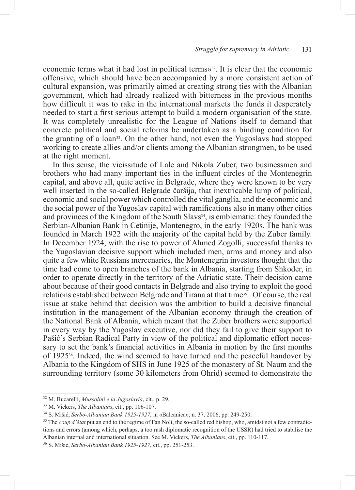economic terms what it had lost in political terms»32. It is clear that the economic offensive, which should have been accompanied by a more consistent action of cultural expansion, was primarily aimed at creating strong ties with the Albanian government, which had already realized with bitterness in the previous months how diffcult it was to rake in the international markets the funds it desperately needed to start a frst serious attempt to build a modern organisation of the state. It was completely unrealistic for the League of Nations itself to demand that concrete political and social reforms be undertaken as a binding condition for the granting of a loan<sup>33</sup>. On the other hand, not even the Yugoslavs had stopped working to create allies and/or clients among the Albanian strongmen, to be used at the right moment.

In this sense, the vicissitude of Lale and Nikola Zuber, two businessmen and brothers who had many important ties in the infuent circles of the Montenegrin capital, and above all, quite active in Belgrade, where they were known to be very well inserted in the so-called Belgrade čaršija, that inextricable lump of political, economic and social power which controlled the vital ganglia, and the economic and the social power of the Yugoslav capital with ramifcations also in many other cities and provinces of the Kingdom of the South Slavs $34$ , is emblematic: they founded the Serbian-Albanian Bank in Cetinije, Montenegro, in the early 1920s. The bank was founded in March 1922 with the majority of the capital held by the Zuber family. In December 1924, with the rise to power of Ahmed Zogolli, successful thanks to the Yugoslavian decisive support which included men, arms and money and also quite a few white Russians mercenaries, the Montenegrin investors thought that the time had come to open branches of the bank in Albania, starting from Shkoder, in order to operate directly in the territory of the Adriatic state. Their decision came about because of their good contacts in Belgrade and also trying to exploit the good relations established between Belgrade and Tirana at that time35. Of course, the real issue at stake behind that decision was the ambition to build a decisive fnancial institution in the management of the Albanian economy through the creation of the National Bank of Albania, which meant that the Zuber brothers were supported in every way by the Yugoslav executive, nor did they fail to give their support to Pašić's Serbian Radical Party in view of the political and diplomatic effort necessary to set the bank's fnancial activities in Albania in motion by the frst months of 192536. Indeed, the wind seemed to have turned and the peaceful handover by Albania to the Kingdom of SHS in June 1925 of the monastery of St. Naum and the surrounding territory (some 30 kilometers from Ohrid) seemed to demonstrate the

<sup>32</sup> M. Bucarelli, *Mussolini e la Jugoslavia*, cit., p. 29.

<sup>33</sup> M. Vickers, *The Albanians*, cit., pp. 106-107.

<sup>34</sup> S. Mišić, *Serbo-Albanian Bank 1925-1927*, in «Balcanica», n. 37, 2006, pp. 249-250.

<sup>35</sup> The *coup d'état* put an end to the regime of Fan Noli, the so-called red bishop, who, amidst not a few contradictions and errors (among which, perhaps, a too rash diplomatic recognition of the USSR) had tried to stabilise the Albanian internal and international situation. See M. Vickers, *The Albanians*, cit., pp. 110-117.

<sup>36</sup> S. Mišić, *Serbo-Albanian Bank 1925-1927*, cit., pp. 251-253.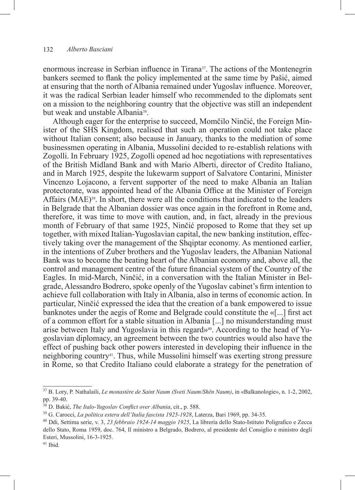# 132 *Alberto Basciani*

enormous increase in Serbian infuence in Tirana37. The actions of the Montenegrin bankers seemed to fank the policy implemented at the same time by Pašić, aimed at ensuring that the north of Albania remained under Yugoslav infuence. Moreover, it was the radical Serbian leader himself who recommended to the diplomats sent on a mission to the neighboring country that the objective was still an independent but weak and unstable Albania<sup>38</sup>.

Although eager for the enterprise to succeed, Momčilo Ninčić, the Foreign Minister of the SHS Kingdom, realised that such an operation could not take place without Italian consent; also because in January, thanks to the mediation of some businessmen operating in Albania, Mussolini decided to re-establish relations with Zogolli. In February 1925, Zogolli opened ad hoc negotiations with representatives of the British Midland Bank and with Mario Alberti, director of Credito Italiano, and in March 1925, despite the lukewarm support of Salvatore Contarini, Minister Vincenzo Lojacono, a fervent supporter of the need to make Albania an Italian protectorate, was appointed head of the Albania Offce at the Minister of Foreign Affairs  $(MAE)^{39}$ . In short, there were all the conditions that indicated to the leaders in Belgrade that the Albanian dossier was once again in the forefront in Rome and, therefore, it was time to move with caution, and, in fact, already in the previous month of February of that same 1925, Ninčić proposed to Rome that they set up together, with mixed Italian-Yugoslavian capital, the new banking institution, effectively taking over the management of the Shqiptar economy. As mentioned earlier, in the intentions of Zuber brothers and the Yugoslav leaders, the Albanian National Bank was to become the beating heart of the Albanian economy and, above all, the control and management centre of the future fnancial system of the Country of the Eagles. In mid-March, Ninčić, in a conversation with the Italian Minister in Belgrade, Alessandro Bodrero, spoke openly of the Yugoslav cabinet's frm intention to achieve full collaboration with Italy in Albania, also in terms of economic action. In particular, Ninčić expressed the idea that the creation of a bank empowered to issue banknotes under the aegis of Rome and Belgrade could constitute the «[...] frst act of a common effort for a stable situation in Albania [...] no misunderstanding must arise between Italy and Yugoslavia in this regard»40. According to the head of Yugoslavian diplomacy, an agreement between the two countries would also have the effect of pushing back other powers interested in developing their infuence in the neighboring country41. Thus, while Mussolini himself was exerting strong pressure in Rome, so that Credito Italiano could elaborate a strategy for the penetration of

<sup>37</sup> B. Lory, P. Nathalaili, *Le monastère de Saint Naum (Sveti Naum/Shën Naum)*, in «Balkanologie», n. 1-2, 2002, pp. 39-40.

<sup>38</sup> D. Bakić, *The Italo-Yugoslav Confict over Albania*, cit., p. 588.

<sup>39</sup> G. Carocci, *La politica estera dell'Italia fascista 1925-1928*, Laterza, Bari 1969, pp. 34-35.

<sup>40</sup> Ddi, Settima serie, v. 3, *23 febbraio 1924-14 maggio 1925*, La libreria dello Stato-Istituto Poligrafco e Zecca dello Stato, Roma 1959, doc. 764, Il ministro a Belgrado, Bodrero, al presidente del Consiglio e ministro degli Esteri, Mussolini, 16-3-1925.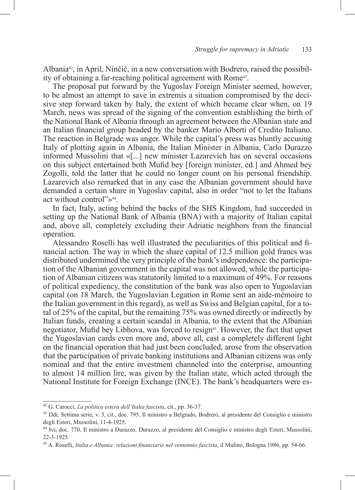Albania42, in April, Ninčić, in a new conversation with Bodrero, raised the possibility of obtaining a far-reaching political agreement with Rome<sup>43</sup>.

The proposal put forward by the Yugoslav Foreign Minister seemed, however, to be almost an attempt to save in extremis a situation compromised by the decisive step forward taken by Italy, the extent of which became clear when, on 19 March, news was spread of the signing of the convention establishing the birth of the National Bank of Albania through an agreement between the Albanian state and an Italian fnancial group headed by the banker Mario Alberti of Credito Italiano. The reaction in Belgrade was anger. While the capital's press was bluntly accusing Italy of plotting again in Albania, the Italian Minister in Albania, Carlo Durazzo informed Mussolini that «[...] new minister Lazarevich has on several occasions on this subject entertained both Mufd bey [foreign minister, ed.] and Ahmed bey Zogolli, told the latter that he could no longer count on his personal friendship. Lazarevich also remarked that in any case the Albanian government should have demanded a certain share in Yugoslav capital, also in order "not to let the Italians act without control"»44.

In fact, Italy, acting behind the backs of the SHS Kingdom, had succeeded in setting up the National Bank of Albania (BNA) with a majority of Italian capital and, above all, completely excluding their Adriatic neighbors from the fnancial operation.

Alessandro Roselli has well illustrated the peculiarities of this political and fnancial action. The way in which the share capital of 12.5 million gold francs was distributed undermined the very principle of the bank's independence: the participation of the Albanian government in the capital was not allowed, while the participation of Albanian citizens was statutorily limited to a maximum of 49%. For reasons of political expediency, the constitution of the bank was also open to Yugoslavian capital (on 18 March, the Yugoslavian Legation in Rome sent an aide-mémoire to the Italian government in this regard), as well as Swiss and Belgian capital, for a total of 25% of the capital, but the remaining 75% was owned directly or indirectly by Italian funds, creating a certain scandal in Albania, to the extent that the Albanian negotiator, Mufid bey Libhova, was forced to resign<sup>45</sup>. However, the fact that upset the Yugoslavian cards even more and, above all, cast a completely different light on the fnancial operation that had just been concluded, arose from the observation that the participation of private banking institutions and Albanian citizens was only nominal and that the entire investment channeled into the enterprise, amounting to almost 14 million lire, was given by the Italian state, which acted through the National Institute for Foreign Exchange (INCE). The bank's headquarters were es-

<sup>42</sup> G. Carocci, *La politica estera dell'Italia fascista*, cit., pp. 36-37. 43 Ddi, Settima serie, v. 3, cit., doc. 795, Il ministro a Belgrado, Bodrero, al presidente del Consiglio e ministro degli Esteri, Mussolini, 11-4-1925.

<sup>44</sup> Ivi, doc. 770, Il ministro a Durazzo, Durazzo, al presidente del Consiglio e ministro degli Esteri, Mussolini, 22-3-1925.

<sup>45</sup> A. Roselli, *Italia e Albania: relazioni fnanziarie nel ventennio fascista*, il Mulino, Bologna 1986, pp. 54-66.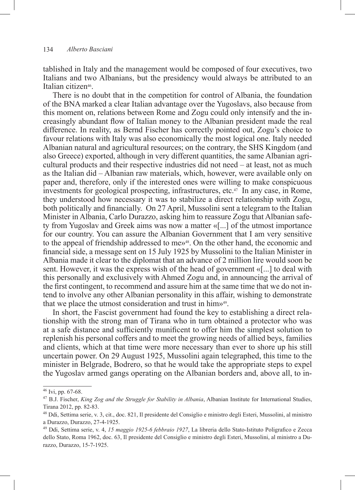tablished in Italy and the management would be composed of four executives, two Italians and two Albanians, but the presidency would always be attributed to an Italian citizen<sup>46</sup>

There is no doubt that in the competition for control of Albania, the foundation of the BNA marked a clear Italian advantage over the Yugoslavs, also because from this moment on, relations between Rome and Zogu could only intensify and the increasingly abundant fow of Italian money to the Albanian president made the real difference. In reality, as Bernd Fischer has correctly pointed out, Zogu's choice to favour relations with Italy was also economically the most logical one. Italy needed Albanian natural and agricultural resources; on the contrary, the SHS Kingdom (and also Greece) exported, although in very different quantities, the same Albanian agricultural products and their respective industries did not need – at least, not as much as the Italian did – Albanian raw materials, which, however, were available only on paper and, therefore, only if the interested ones were willing to make conspicuous investments for geological prospecting, infrastructures, etc.<sup>47</sup> In any case, in Rome, they understood how necessary it was to stabilize a direct relationship with Zogu, both politically and fnancially. On 27 April, Mussolini sent a telegram to the Italian Minister in Albania, Carlo Durazzo, asking him to reassure Zogu that Albanian safety from Yugoslav and Greek aims was now a matter «[...] of the utmost importance for our country. You can assure the Albanian Government that I am very sensitive to the appeal of friendship addressed to me»48. On the other hand, the economic and fnancial side, a message sent on 15 July 1925 by Mussolini to the Italian Minister in Albania made it clear to the diplomat that an advance of 2 million lire would soon be sent. However, it was the express wish of the head of government «[...] to deal with this personally and exclusively with Ahmed Zogu and, in announcing the arrival of the frst contingent, to recommend and assure him at the same time that we do not intend to involve any other Albanian personality in this affair, wishing to demonstrate that we place the utmost consideration and trust in him»49.

In short, the Fascist government had found the key to establishing a direct relationship with the strong man of Tirana who in turn obtained a protector who was at a safe distance and suffciently munifcent to offer him the simplest solution to replenish his personal coffers and to meet the growing needs of allied beys, families and clients, which at that time were more necessary than ever to shore up his still uncertain power. On 29 August 1925, Mussolini again telegraphed, this time to the minister in Belgrade, Bodrero, so that he would take the appropriate steps to expel the Yugoslav armed gangs operating on the Albanian borders and, above all, to in-

<sup>46</sup> Ivi, pp. 67-68.

<sup>47</sup> B.J. Fischer, *King Zog and the Struggle for Stability in Albania*, Albanian Institute for International Studies, Tirana 2012, pp. 82-83.

<sup>48</sup> Ddi, Settima serie, v. 3, cit., doc. 821, Il presidente del Consiglio e ministro degli Esteri, Mussolini, al ministro a Durazzo, Durazzo, 27-4-1925.

<sup>49</sup> Ddi, Settima serie, v. 4, *15 maggio 1925-6 febbraio 1927*, La libreria dello Stato-Istituto Poligrafco e Zecca dello Stato, Roma 1962, doc. 63, Il presidente del Consiglio e ministro degli Esteri, Mussolini, al ministro a Durazzo, Durazzo, 15-7-1925.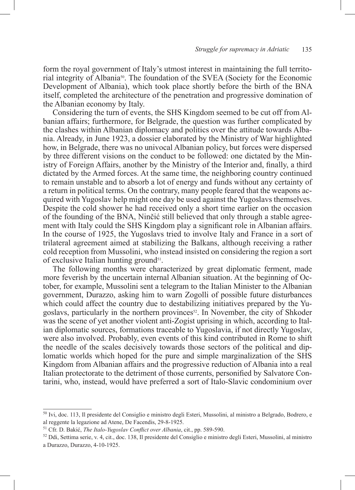form the royal government of Italy's utmost interest in maintaining the full territorial integrity of Albania50. The foundation of the SVEA (Society for the Economic Development of Albania), which took place shortly before the birth of the BNA itself, completed the architecture of the penetration and progressive domination of the Albanian economy by Italy.

Considering the turn of events, the SHS Kingdom seemed to be cut off from Albanian affairs; furthermore, for Belgrade, the question was further complicated by the clashes within Albanian diplomacy and politics over the attitude towards Albania. Already, in June 1923, a dossier elaborated by the Ministry of War highlighted how, in Belgrade, there was no univocal Albanian policy, but forces were dispersed by three different visions on the conduct to be followed: one dictated by the Ministry of Foreign Affairs, another by the Ministry of the Interior and, fnally, a third dictated by the Armed forces. At the same time, the neighboring country continued to remain unstable and to absorb a lot of energy and funds without any certainty of a return in political terms. On the contrary, many people feared that the weapons acquired with Yugoslav help might one day be used against the Yugoslavs themselves. Despite the cold shower he had received only a short time earlier on the occasion of the founding of the BNA, Ninčić still believed that only through a stable agreement with Italy could the SHS Kingdom play a signifcant role in Albanian affairs. In the course of 1925, the Yugoslavs tried to involve Italy and France in a sort of trilateral agreement aimed at stabilizing the Balkans, although receiving a rather cold reception from Mussolini, who instead insisted on considering the region a sort of exclusive Italian hunting ground<sup>51</sup>.

The following months were characterized by great diplomatic ferment, made more feverish by the uncertain internal Albanian situation. At the beginning of October, for example, Mussolini sent a telegram to the Italian Minister to the Albanian government, Durazzo, asking him to warn Zogolli of possible future disturbances which could affect the country due to destabilizing initiatives prepared by the Yugoslavs, particularly in the northern provinces $52$ . In November, the city of Shkoder was the scene of yet another violent anti-Zogist uprising in which, according to Italian diplomatic sources, formations traceable to Yugoslavia, if not directly Yugoslav, were also involved. Probably, even events of this kind contributed in Rome to shift the needle of the scales decisively towards those sectors of the political and diplomatic worlds which hoped for the pure and simple marginalization of the SHS Kingdom from Albanian affairs and the progressive reduction of Albania into a real Italian protectorate to the detriment of those currents, personifed by Salvatore Contarini, who, instead, would have preferred a sort of Italo-Slavic condominium over

<sup>50</sup> Ivi, doc. 113, Il presidente del Consiglio e ministro degli Esteri, Mussolini, al ministro a Belgrado, Bodrero, e al reggente la legazione ad Atene, De Facendis, 29-8-1925.

<sup>51</sup> Cfr. D. Bakić, *The Italo-Yugoslav Confict over Albania*, cit., pp. 589-590.

 $52$  Ddi, Settima serie, v. 4, cit., doc. 138, Il presidente del Consiglio e ministro degli Esteri, Mussolini, al ministro a Durazzo, Durazzo, 4-10-1925.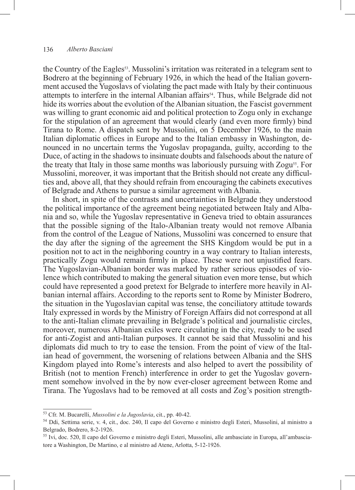the Country of the Eagles53. Mussolini's irritation was reiterated in a telegram sent to Bodrero at the beginning of February 1926, in which the head of the Italian government accused the Yugoslavs of violating the pact made with Italy by their continuous attempts to interfere in the internal Albanian affairs54. Thus, while Belgrade did not hide its worries about the evolution of the Albanian situation, the Fascist government was willing to grant economic aid and political protection to Zogu only in exchange for the stipulation of an agreement that would clearly (and even more frmly) bind Tirana to Rome. A dispatch sent by Mussolini, on 5 December 1926, to the main Italian diplomatic offces in Europe and to the Italian embassy in Washington, denounced in no uncertain terms the Yugoslav propaganda, guilty, according to the Duce, of acting in the shadows to insinuate doubts and falsehoods about the nature of the treaty that Italy in those same months was laboriously pursuing with  $Zogu<sup>55</sup>$ . For Mussolini, moreover, it was important that the British should not create any diffculties and, above all, that they should refrain from encouraging the cabinets executives of Belgrade and Athens to pursue a similar agreement with Albania.

In short, in spite of the contrasts and uncertainties in Belgrade they understood the political importance of the agreement being negotiated between Italy and Albania and so, while the Yugoslav representative in Geneva tried to obtain assurances that the possible signing of the Italo-Albanian treaty would not remove Albania from the control of the League of Nations, Mussolini was concerned to ensure that the day after the signing of the agreement the SHS Kingdom would be put in a position not to act in the neighboring country in a way contrary to Italian interests, practically Zogu would remain frmly in place. These were not unjustifed fears. The Yugoslavian-Albanian border was marked by rather serious episodes of violence which contributed to making the general situation even more tense, but which could have represented a good pretext for Belgrade to interfere more heavily in Albanian internal affairs. According to the reports sent to Rome by Minister Bodrero, the situation in the Yugoslavian capital was tense, the conciliatory attitude towards Italy expressed in words by the Ministry of Foreign Affairs did not correspond at all to the anti-Italian climate prevailing in Belgrade's political and journalistic circles, moreover, numerous Albanian exiles were circulating in the city, ready to be used for anti-Zogist and anti-Italian purposes. It cannot be said that Mussolini and his diplomats did much to try to ease the tension. From the point of view of the Italian head of government, the worsening of relations between Albania and the SHS Kingdom played into Rome's interests and also helped to avert the possibility of British (not to mention French) interference in order to get the Yugoslav government somehow involved in the by now ever-closer agreement between Rome and Tirana. The Yugoslavs had to be removed at all costs and Zog's position strength-

<sup>53</sup> Cfr. M. Bucarelli, *Mussolini e la Jugoslavia*, cit., pp. 40-42.

<sup>54</sup> Ddi, Settima serie, v. 4, cit., doc. 240, Il capo del Governo e ministro degli Esteri, Mussolini, al ministro a Belgrado, Bodrero, 8-2-1926.

<sup>55</sup> Ivi, doc. 520, Il capo del Governo e ministro degli Esteri, Mussolini, alle ambasciate in Europa, all'ambasciatore a Washington, De Martino, e al ministro ad Atene, Arlotta, 5-12-1926.